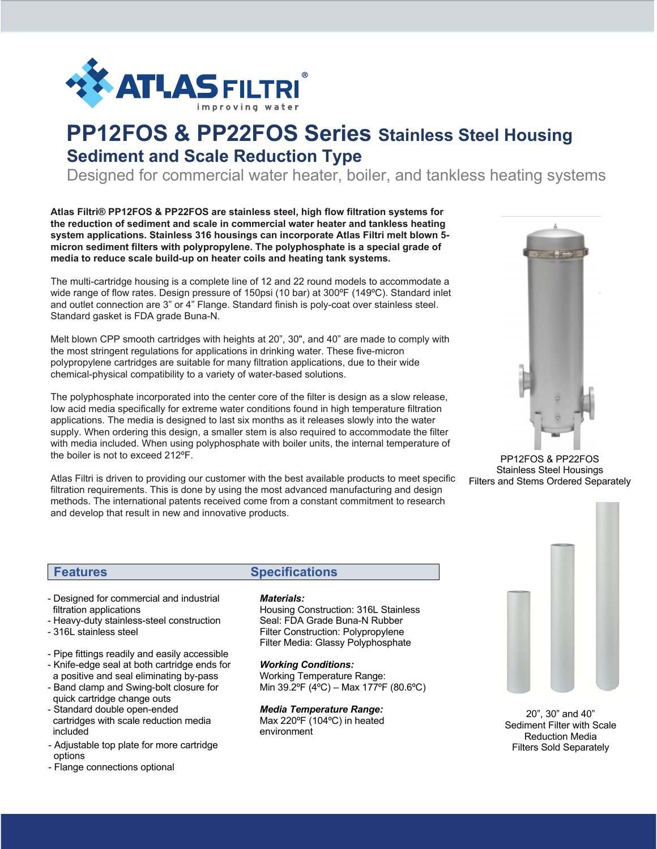

# **PP12FOS & PP22FOS Series Stainless Steel Housing Sediment and Scale Reduction Type**

Designed for commercial water heater, boiler, and tankless heating systems

**Atlas Filtri® PP12FOS & PP22FOS are stainless steel, high flow filtration systems for the reduction of sediment and scale in commercial water heater and tankless heating system applications. Stainless 316 housings can incorporate Atlas Filtri melt blown 5 micron sediment filters with polypropylene. The polyphosphate is a special grade of media to reduce scale build-up on heater coils and heating tank systems.** 

The multi-cartridge housing is a complete line of 12 and 22 round models to accommodate a wide range of flow rates. Design pressure of 150psi (10 bar) at 300ºF (149ºC). Standard inlet and outlet connection are 3" or 4" Flange. Standard finish is poly-coat over stainless steel. Standard gasket is FDA grade Buna-N.

Melt blown CPP smooth cartridges with heights at 20", 30", and 40" are made to comply with the most stringent regulations for applications in drinking water. These five-micron polypropylene cartridges are suitable for many filtration applications, due to their wide chemical-physical compatibility to a variety of water-based solutions.

The polyphosphate incorporated into the center core of the filter is design as a slow release, low acid media specifically for extreme water conditions found in high temperature filtration applications. The media is designed to last six months as it releases slowly into the water supply. When ordering this design, a smaller stem is also required to accommodate the filter with media included. When using polyphosphate with boiler units, the internal temperature of the boiler is not to exceed 212ºF.

Atlas Filtri is driven to providing our customer with the best available products to meet specific filtration requirements. This is done by using the most advanced manufacturing and design methods. The international patents received come from a constant commitment to research and develop that result in new and innovative products.



PP12FOS & PP22FOS Stainless Steel Housings Filters and Stems Ordered Separately

- Designed for commercial and industrial filtration applications
- Heavy-duty stainless-steel construction
- 316L stainless steel
- Pipe fittings readily and easily accessible
- Knife-edge seal at both cartridge ends for a positive and seal eliminating by-pass
- Band clamp and Swing-bolt closure for quick cartridge change outs
- Standard double open-ended cartridges with scale reduction media included
- Adjustable top plate for more cartridge options
- Flange connections optional - Polyphosphate glassy bead for slow even

#### **Features Specifications**

#### *Materials:*

Housing Construction: 316L Stainless Seal: FDA Grade Buna-N Rubber Filter Construction: Polypropylene Filter Media: Glassy Polyphosphate

#### *Working Conditions:*

Working Temperature Range: Min 39.2ºF (4ºC) – Max 177ºF (80.6ºC)

#### *Media Temperature Range:*

Max 220ºF (104ºC) in heated environment



20", 30" and 40" Sediment Filter with Scale Reduction Media Filters Sold Separately